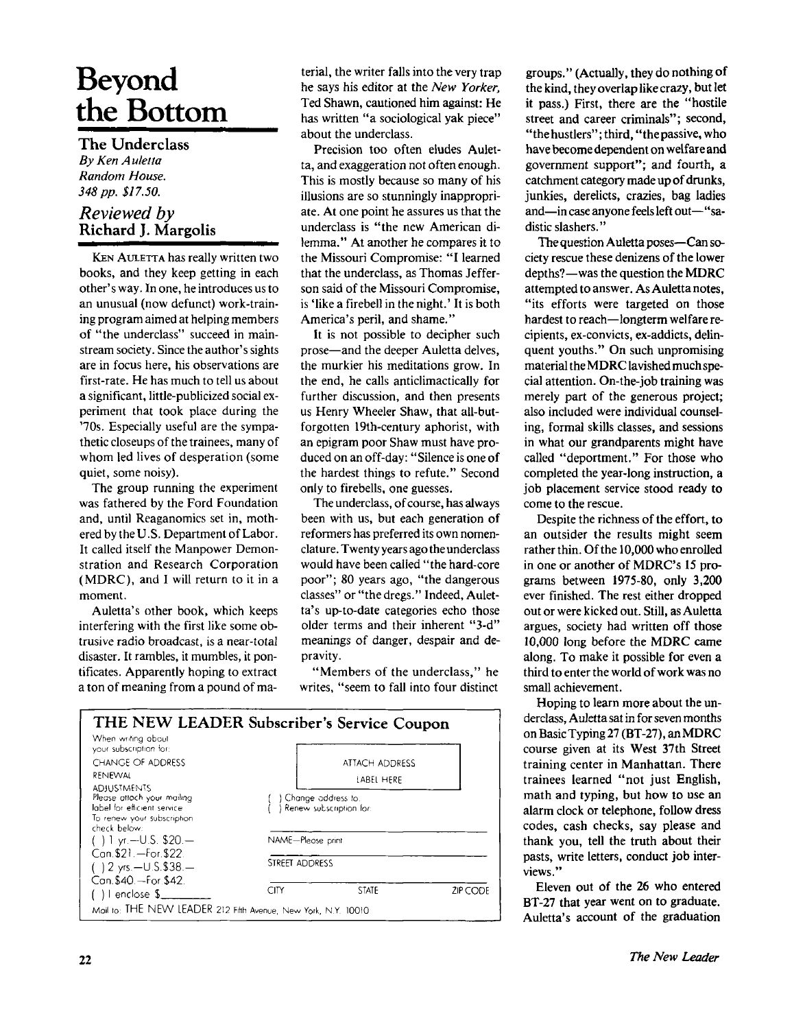## **Beyond the Bottom**

**The Underclass**  *By Ken Auletta Random House. 348 pp. \$17.50.* 

## *Reviewed by*  **Richard J. Margolis**

KEN AULETTA has really written two books, and they keep getting in each other's way. In one, he introduces us to an unusual (now defunct) work-training program aimed at helping members of "the underclass" succeed in mainstream society. Since the author's sights are in focus here, his observations are first-rate. He has much to tell us about a significant, little-publicized social experiment that took place during the '70s. Especially useful are the sympathetic closeups of the trainees, many of whom led lives of desperation (some quiet, some noisy).

The group running the experiment was fathered by the Ford Foundation and, until Reaganomics set in, mothered by the U.S. Department of Labor. It called itself the Manpower Demonstration and Research Corporation (MDRC), and I will return to it in a moment.

Auletta's other book, which keeps interfering with the first like some obtrusive radio broadcast, is a near-total disaster. It rambles, it mumbles, it pontificates. Apparently hoping to extract a ton of meaning from a pound of material, the writer falls into the very trap he says his editor at the *New Yorker,*  Ted Shawn, cautioned him against: He has written "a sociological yak piece" about the underclass.

Precision too often eludes Auletta, and exaggeration not often enough. This is mostly because so many of his illusions are so stunningly inappropriate. At one point he assures us that the underclass is "the new American dilemma." At another he compares it to the Missouri Compromise: "I learned that the underclass, as Thomas Jefferson said of the Missouri Compromise, is 'like a firebell in the night.' It is both America's peril, and shame."

It is not possible to decipher such prose—and the deeper Auletta delves, the murkier his meditations grow. In the end, he calls anticlimactically for further discussion, and then presents us Henry Wheeler Shaw, that all-butforgotten 19th-century aphorist, with an epigram poor Shaw must have produced on an off-day: "Silence is one of the hardest things to refute." Second only to firebells, one guesses.

The underclass, of course, has always been with us, but each generation of reformers has preferred its own nomenclature. Twenty years ago the underclass would have been called "the hard-core poor"; 80 years ago, "the dangerous classes" or "the dregs." Indeed, Auletta's up-to-date categories echo those older terms and their inherent "3-d" meanings of danger, despair and depravity.

"Members of the underclass," he writes, "seem to fall into four distinct

| THE NEW LEADER Subscriber's Service Coupon<br>When writing about                                                                                                                                                                                                                                     |                              |                                               |          |
|------------------------------------------------------------------------------------------------------------------------------------------------------------------------------------------------------------------------------------------------------------------------------------------------------|------------------------------|-----------------------------------------------|----------|
| your subscription for:<br><b>CHANGE OF ADDRESS</b><br>RENEWAL<br><b>ADJUSTMENTS</b><br>Please attach your mailing<br>label for efficient service<br>To renew your subscription<br>check below:<br>() 1 yr.—U.S. \$20.—<br>Can. \$21. - For. \$22.<br>() 2 yrs.—U.S.\$38.—<br>Can. \$40. - For. \$42. | ATTACH ADDRESS<br>LABEL HERE |                                               |          |
|                                                                                                                                                                                                                                                                                                      |                              | Change address to.<br>Renew subscription for: |          |
|                                                                                                                                                                                                                                                                                                      | NAME-Please print            |                                               |          |
|                                                                                                                                                                                                                                                                                                      | STREET ADDRESS               |                                               |          |
| ( )   enclose \$___<br>Moil to: THE NEW LEADER 212 Fifth Avenue, New York, N.Y. 10010                                                                                                                                                                                                                | CITY                         | <b>STATE</b>                                  | ZIP CODE |

groups." (Actually, they do nothing of the kind, they overlap like crazy, but let it pass.) First, there are the "hostile street and career criminals"; second, "the hustlers"; third, "the passive, who have become dependent on welfare and government support"; and fourth, a catchment category made up of drunks, junkies, derelicts, crazies, bag ladies and—in case anyone feels left out—"sadistic slashers."

The question Auletta poses—Can society rescue these denizens of the lower depths?—was the question the MDRC attempted to answer. As Auletta notes, "its efforts were targeted on those hardest to reach—longterm welfare recipients, ex-convicts, ex-addicts, delinquent youths." On such unpromising material the MDRC lavished much special attention. On-the-job training was merely part of the generous project; also included were individual counseling, formal skills classes, and sessions in what our grandparents might have called "deportment." For those who completed the year-long instruction, a job placement service stood ready to come to the rescue.

Despite the richness of the effort, to an outsider the results might seem rather thin. Of the 10,000 who enrolled in one or another of MDRC's 15 programs between 1975-80, only 3,200 ever finished. The rest either dropped out or were kicked out. Still, as Auletta argues, society had written off those 10,000 long before the MDRC came along. To make it possible for even a third to enter the world of work was no small achievement.

Hoping to learn more about the underclass, Auletta sat in for seven months on Basic Typing 27 (BT-27), an MDRC course given at its West 37th Street training center in Manhattan. There trainees learned "not just English, math and typing, but how to use an alarm clock or telephone, follow dress codes, cash checks, say please and thank you, tell the truth about their pasts, write letters, conduct job interviews."

Eleven out of the 26 who entered BT-27 that year went on to graduate. Auletta's account of the graduation